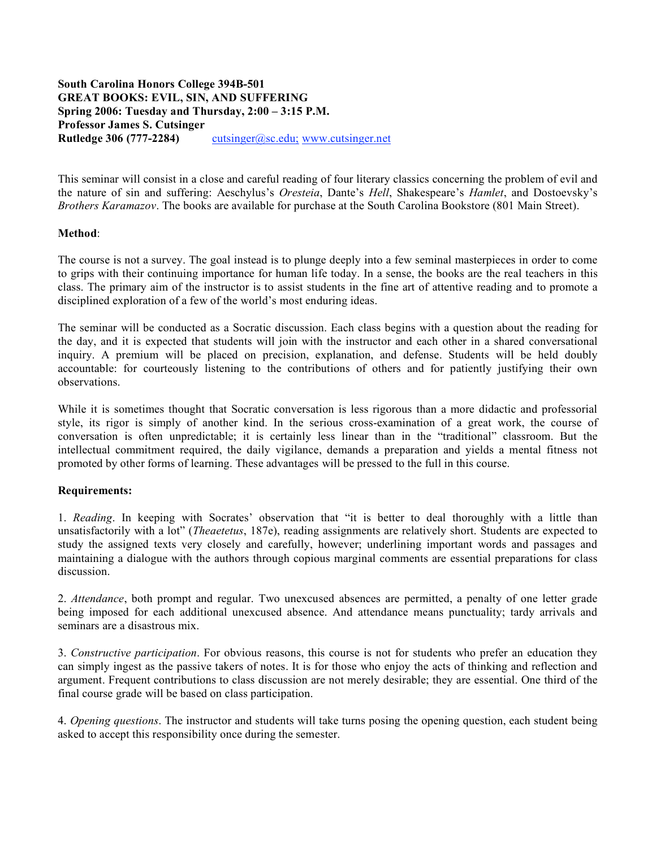## **South Carolina Honors College 394B-501 GREAT BOOKS: EVIL, SIN, AND SUFFERING Spring 2006: Tuesday and Thursday, 2:00 – 3:15 P.M. Professor James S. Cutsinger Rutledge 306 (777-2284)** cutsinger@sc.edu; www.cutsinger.net

This seminar will consist in a close and careful reading of four literary classics concerning the problem of evil and the nature of sin and suffering: Aeschylus's *Oresteia*, Dante's *Hell*, Shakespeare's *Hamlet*, and Dostoevsky's *Brothers Karamazov*. The books are available for purchase at the South Carolina Bookstore (801 Main Street).

## **Method**:

The course is not a survey. The goal instead is to plunge deeply into a few seminal masterpieces in order to come to grips with their continuing importance for human life today. In a sense, the books are the real teachers in this class. The primary aim of the instructor is to assist students in the fine art of attentive reading and to promote a disciplined exploration of a few of the world's most enduring ideas.

The seminar will be conducted as a Socratic discussion. Each class begins with a question about the reading for the day, and it is expected that students will join with the instructor and each other in a shared conversational inquiry. A premium will be placed on precision, explanation, and defense. Students will be held doubly accountable: for courteously listening to the contributions of others and for patiently justifying their own observations.

While it is sometimes thought that Socratic conversation is less rigorous than a more didactic and professorial style, its rigor is simply of another kind. In the serious cross-examination of a great work, the course of conversation is often unpredictable; it is certainly less linear than in the "traditional" classroom. But the intellectual commitment required, the daily vigilance, demands a preparation and yields a mental fitness not promoted by other forms of learning. These advantages will be pressed to the full in this course.

## **Requirements:**

1. *Reading*. In keeping with Socrates' observation that "it is better to deal thoroughly with a little than unsatisfactorily with a lot" (*Theaetetus*, 187e), reading assignments are relatively short. Students are expected to study the assigned texts very closely and carefully, however; underlining important words and passages and maintaining a dialogue with the authors through copious marginal comments are essential preparations for class discussion.

2. *Attendance*, both prompt and regular. Two unexcused absences are permitted, a penalty of one letter grade being imposed for each additional unexcused absence. And attendance means punctuality; tardy arrivals and seminars are a disastrous mix.

3. *Constructive participation*. For obvious reasons, this course is not for students who prefer an education they can simply ingest as the passive takers of notes. It is for those who enjoy the acts of thinking and reflection and argument. Frequent contributions to class discussion are not merely desirable; they are essential. One third of the final course grade will be based on class participation.

4. *Opening questions*. The instructor and students will take turns posing the opening question, each student being asked to accept this responsibility once during the semester.